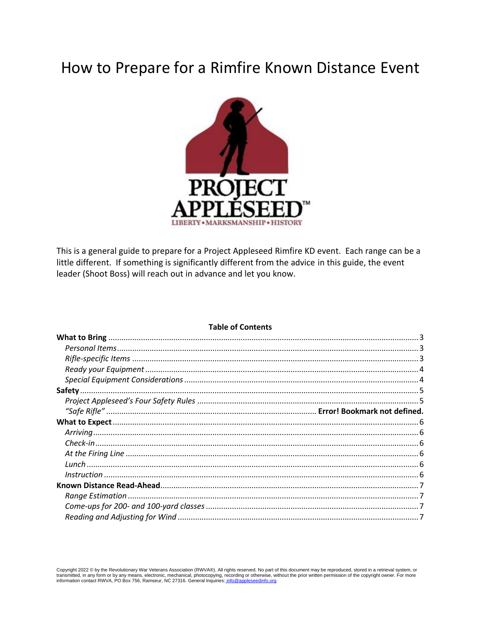# How to Prepare for a Rimfire Known Distance Event



This is a general guide to prepare for a Project Appleseed Rimfire KD event. Each range can be a little different. If something is significantly different from the advice in this guide, the event leader (Shoot Boss) will reach out in advance and let you know.

## **Table of Contents**

Copyright 2022 © by the Revolutionary War Veterans Association (RWVA®). All rights reserved. No part of this document may be reproduced, stored in a retrieval system, or transmitted, in any form or by any means, electronic, mechanical, photocopying, recording or otherwise, without the prior written permission of the copyright owner. For more information contact RWVA, PO Box 756, Ramseur, N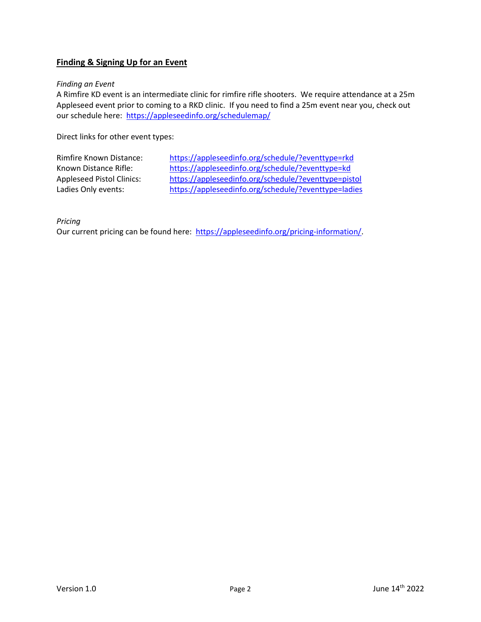# **Finding & Signing Up for an Event**

## *Finding an Event*

A Rimfire KD event is an intermediate clinic for rimfire rifle shooters. We require attendance at a 25m Appleseed event prior to coming to a RKD clinic. If you need to find a 25m event near you, check out our schedule here: https://appleseedinfo.org/schedulemap/

Direct links for other event types:

| <b>Rimfire Known Distance:</b>   | https://appleseedinfo.org/schedule/?eventtype=rkd    |
|----------------------------------|------------------------------------------------------|
| Known Distance Rifle:            | https://appleseedinfo.org/schedule/?eventtype=kd     |
| <b>Appleseed Pistol Clinics:</b> | https://appleseedinfo.org/schedule/?eventtype=pistol |
| Ladies Only events:              | https://appleseedinfo.org/schedule/?eventtype=ladies |
|                                  |                                                      |

*Pricing*

Our current pricing can be found here: [https://appleseedinfo.org/pricing-information/.](https://appleseedinfo.org/pricing-information/)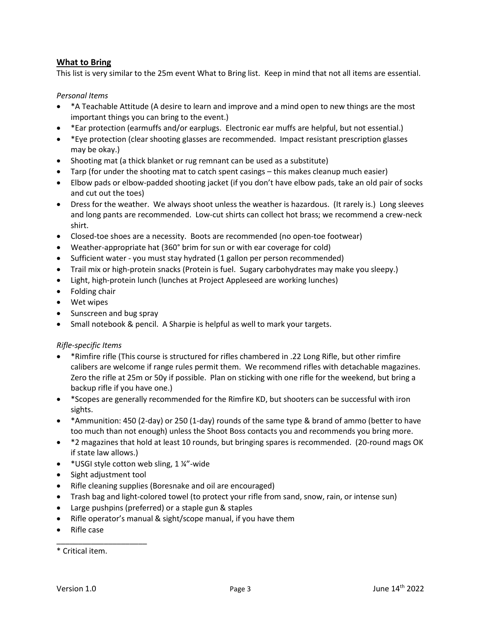# <span id="page-2-0"></span>**What to Bring**

This list is very similar to the 25m event What to Bring list. Keep in mind that not all items are essential.

# <span id="page-2-1"></span>*Personal Items*

- \*A Teachable Attitude (A desire to learn and improve and a mind open to new things are the most important things you can bring to the event.)
- \*Ear protection (earmuffs and/or earplugs. Electronic ear muffs are helpful, but not essential.)
- \*Eye protection (clear shooting glasses are recommended. Impact resistant prescription glasses may be okay.)
- Shooting mat (a thick blanket or rug remnant can be used as a substitute)
- Tarp (for under the shooting mat to catch spent casings this makes cleanup much easier)
- Elbow pads or elbow-padded shooting jacket (if you don't have elbow pads, take an old pair of socks and cut out the toes)
- Dress for the weather. We always shoot unless the weather is hazardous. (It rarely is.) Long sleeves and long pants are recommended. Low-cut shirts can collect hot brass; we recommend a crew-neck shirt.
- Closed-toe shoes are a necessity. Boots are recommended (no open-toe footwear)
- Weather-appropriate hat (360° brim for sun or with ear coverage for cold)
- Sufficient water you must stay hydrated (1 gallon per person recommended)
- Trail mix or high-protein snacks (Protein is fuel. Sugary carbohydrates may make you sleepy.)
- Light, high-protein lunch (lunches at Project Appleseed are working lunches)
- Folding chair
- Wet wipes
- Sunscreen and bug spray
- Small notebook & pencil. A Sharpie is helpful as well to mark your targets.

## <span id="page-2-2"></span>*Rifle-specific Items*

- \*Rimfire rifle (This course is structured for rifles chambered in .22 Long Rifle, but other rimfire calibers are welcome if range rules permit them. We recommend rifles with detachable magazines. Zero the rifle at 25m or 50y if possible. Plan on sticking with one rifle for the weekend, but bring a backup rifle if you have one.)
- \*Scopes are generally recommended for the Rimfire KD, but shooters can be successful with iron sights.
- \*Ammunition: 450 (2-day) or 250 (1-day) rounds of the same type & brand of ammo (better to have too much than not enough) unless the Shoot Boss contacts you and recommends you bring more.
- \*2 magazines that hold at least 10 rounds, but bringing spares is recommended. (20-round mags OK if state law allows.)
- \* USGI style cotton web sling, 1 ¼"-wide
- Sight adjustment tool

\_\_\_\_\_\_\_\_\_\_\_\_\_\_\_\_\_\_\_\_\_

- Rifle cleaning supplies (Boresnake and oil are encouraged)
- Trash bag and light-colored towel (to protect your rifle from sand, snow, rain, or intense sun)
- Large pushpins (preferred) or a staple gun & staples
- Rifle operator's manual & sight/scope manual, if you have them
- Rifle case

<sup>\*</sup> Critical item.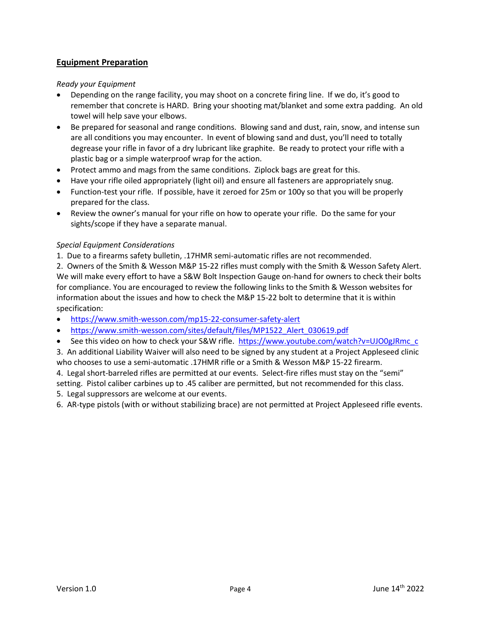# **Equipment Preparation**

# <span id="page-3-0"></span>*Ready your Equipment*

- Depending on the range facility, you may shoot on a concrete firing line. If we do, it's good to remember that concrete is HARD. Bring your shooting mat/blanket and some extra padding. An old towel will help save your elbows.
- Be prepared for seasonal and range conditions. Blowing sand and dust, rain, snow, and intense sun are all conditions you may encounter. In event of blowing sand and dust, you'll need to totally degrease your rifle in favor of a dry lubricant like graphite. Be ready to protect your rifle with a plastic bag or a simple waterproof wrap for the action.
- Protect ammo and mags from the same conditions. Ziplock bags are great for this.
- Have your rifle oiled appropriately (light oil) and ensure all fasteners are appropriately snug.
- Function-test your rifle. If possible, have it zeroed for 25m or 100y so that you will be properly prepared for the class.
- Review the owner's manual for your rifle on how to operate your rifle. Do the same for your sights/scope if they have a separate manual.

## <span id="page-3-1"></span>*Special Equipment Considerations*

1. Due to a firearms safety bulletin, .17HMR semi-automatic rifles are not recommended.

2. Owners of the Smith & Wesson M&P 15-22 rifles must comply with the Smith & Wesson Safety Alert. We will make every effort to have a S&W Bolt Inspection Gauge on-hand for owners to check their bolts for compliance. You are encouraged to review the following links to the Smith & Wesson websites for information about the issues and how to check the M&P 15-22 bolt to determine that it is within specification:

- <https://www.smith-wesson.com/mp15-22-consumer-safety-alert>
- [https://www.smith-wesson.com/sites/default/files/MP1522\\_Alert\\_030619.pdf](https://www.smith-wesson.com/sites/default/files/MP1522_Alert_030619.pdf)
- See this video on how to check your S&W rifle. [https://www.youtube.com/watch?v=UJO0gJRmc\\_c](https://www.youtube.com/watch?v=UJO0gJRmc_c)
- 3. An additional Liability Waiver will also need to be signed by any student at a Project Appleseed clinic who chooses to use a semi-automatic .17HMR rifle or a Smith & Wesson M&P 15-22 firearm.
- 4. Legal short-barreled rifles are permitted at our events. Select-fire rifles must stay on the "semi" setting. Pistol caliber carbines up to .45 caliber are permitted, but not recommended for this class.
- 5. Legal suppressors are welcome at our events.

6. AR-type pistols (with or without stabilizing brace) are not permitted at Project Appleseed rifle events.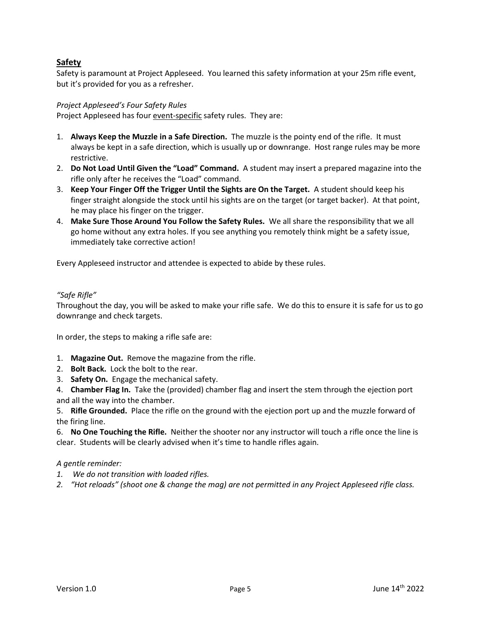# <span id="page-4-0"></span>**Safety**

Safety is paramount at Project Appleseed. You learned this safety information at your 25m rifle event, but it's provided for you as a refresher.

# <span id="page-4-1"></span>*Project Appleseed's Four Safety Rules*

Project Appleseed has four event-specific safety rules. They are:

- 1. **Always Keep the Muzzle in a Safe Direction.** The muzzle is the pointy end of the rifle. It must always be kept in a safe direction, which is usually up or downrange. Host range rules may be more restrictive.
- 2. **Do Not Load Until Given the "Load" Command.** A student may insert a prepared magazine into the rifle only after he receives the "Load" command.
- 3. **Keep Your Finger Off the Trigger Until the Sights are On the Target.** A student should keep his finger straight alongside the stock until his sights are on the target (or target backer). At that point, he may place his finger on the trigger.
- 4. **Make Sure Those Around You Follow the Safety Rules.** We all share the responsibility that we all go home without any extra holes. If you see anything you remotely think might be a safety issue, immediately take corrective action!

Every Appleseed instructor and attendee is expected to abide by these rules.

## *"Safe Rifle"*

Throughout the day, you will be asked to make your rifle safe. We do this to ensure it is safe for us to go downrange and check targets.

In order, the steps to making a rifle safe are:

- 1. **Magazine Out.** Remove the magazine from the rifle.
- 2. **Bolt Back.** Lock the bolt to the rear.
- 3. **Safety On.** Engage the mechanical safety.
- 4. **Chamber Flag In.** Take the (provided) chamber flag and insert the stem through the ejection port and all the way into the chamber.

5. **Rifle Grounded.** Place the rifle on the ground with the ejection port up and the muzzle forward of the firing line.

6. **No One Touching the Rifle.** Neither the shooter nor any instructor will touch a rifle once the line is clear. Students will be clearly advised when it's time to handle rifles again.

## *A gentle reminder:*

- *1. We do not transition with loaded rifles.*
- *2. "Hot reloads" (shoot one & change the mag) are not permitted in any Project Appleseed rifle class.*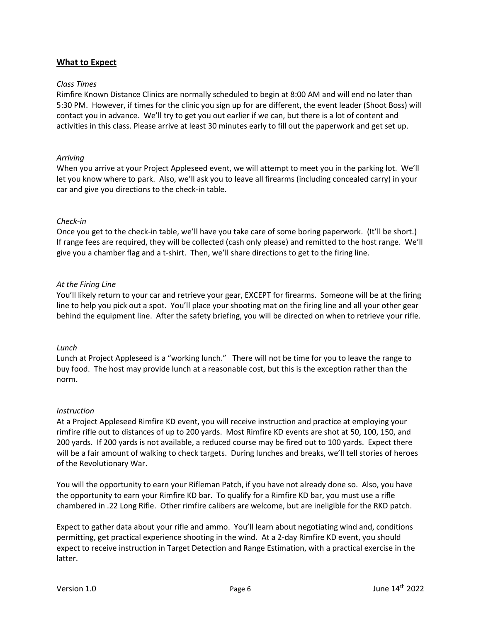# <span id="page-5-0"></span>**What to Expect**

#### <span id="page-5-1"></span>*Class Times*

Rimfire Known Distance Clinics are normally scheduled to begin at 8:00 AM and will end no later than 5:30 PM. However, if times for the clinic you sign up for are different, the event leader (Shoot Boss) will contact you in advance. We'll try to get you out earlier if we can, but there is a lot of content and activities in this class. Please arrive at least 30 minutes early to fill out the paperwork and get set up.

## *Arriving*

When you arrive at your Project Appleseed event, we will attempt to meet you in the parking lot. We'll let you know where to park. Also, we'll ask you to leave all firearms (including concealed carry) in your car and give you directions to the check-in table.

## <span id="page-5-2"></span>*Check-in*

Once you get to the check-in table, we'll have you take care of some boring paperwork. (It'll be short.) If range fees are required, they will be collected (cash only please) and remitted to the host range. We'll give you a chamber flag and a t-shirt. Then, we'll share directions to get to the firing line.

## <span id="page-5-3"></span>*At the Firing Line*

You'll likely return to your car and retrieve your gear, EXCEPT for firearms. Someone will be at the firing line to help you pick out a spot. You'll place your shooting mat on the firing line and all your other gear behind the equipment line. After the safety briefing, you will be directed on when to retrieve your rifle.

#### <span id="page-5-4"></span>*Lunch*

Lunch at Project Appleseed is a "working lunch." There will not be time for you to leave the range to buy food. The host may provide lunch at a reasonable cost, but this is the exception rather than the norm.

#### <span id="page-5-5"></span>*Instruction*

At a Project Appleseed Rimfire KD event, you will receive instruction and practice at employing your rimfire rifle out to distances of up to 200 yards. Most Rimfire KD events are shot at 50, 100, 150, and 200 yards. If 200 yards is not available, a reduced course may be fired out to 100 yards. Expect there will be a fair amount of walking to check targets. During lunches and breaks, we'll tell stories of heroes of the Revolutionary War.

You will the opportunity to earn your Rifleman Patch, if you have not already done so. Also, you have the opportunity to earn your Rimfire KD bar. To qualify for a Rimfire KD bar, you must use a rifle chambered in .22 Long Rifle. Other rimfire calibers are welcome, but are ineligible for the RKD patch.

Expect to gather data about your rifle and ammo. You'll learn about negotiating wind and, conditions permitting, get practical experience shooting in the wind. At a 2-day Rimfire KD event, you should expect to receive instruction in Target Detection and Range Estimation, with a practical exercise in the latter.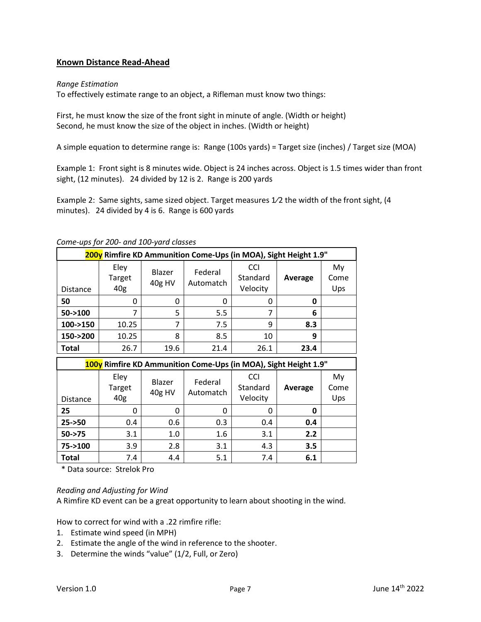# <span id="page-6-0"></span>**Known Distance Read-Ahead**

## <span id="page-6-1"></span>*Range Estimation*

To effectively estimate range to an object, a Rifleman must know two things:

First, he must know the size of the front sight in minute of angle. (Width or height) Second, he must know the size of the object in inches. (Width or height)

A simple equation to determine range is: Range (100s yards) = Target size (inches) / Target size (MOA)

Example 1: Front sight is 8 minutes wide. Object is 24 inches across. Object is 1.5 times wider than front sight, (12 minutes). 24 divided by 12 is 2. Range is 200 yards

Example 2: Same sights, same sized object. Target measures  $1/2$  the width of the front sight, (4 minutes). 24 divided by 4 is 6. Range is 600 yards

<span id="page-6-2"></span>

| Come-ups for 200- and 100-yard classes |  |
|----------------------------------------|--|
|----------------------------------------|--|

| <b>200y</b> Rimfire KD Ammunition Come-Ups (in MOA), Sight Height 1.9" |                       |                  |                      |                                    |         |                   |
|------------------------------------------------------------------------|-----------------------|------------------|----------------------|------------------------------------|---------|-------------------|
| <b>Distance</b>                                                        | Eley<br>Target<br>40g | Blazer<br>40g HV | Federal<br>Automatch | <b>CCI</b><br>Standard<br>Velocity | Average | My<br>Come<br>Ups |
| 50                                                                     | 0                     | 0                | 0                    | 0                                  | 0       |                   |
| $50 - > 100$                                                           |                       | 5                | 5.5                  |                                    | 6       |                   |
| 100->150                                                               | 10.25                 | 7                | 7.5                  | 9                                  | 8.3     |                   |
| 150->200                                                               | 10.25                 | 8                | 8.5                  | 10                                 | 9       |                   |
| <b>Total</b>                                                           | 26.7                  | 19.6             | 21.4                 | 26.1                               | 23.4    |                   |

| 100y Rimfire KD Ammunition Come-Ups (in MOA), Sight Height 1.9" |                       |                  |                      |                                    |         |                   |
|-----------------------------------------------------------------|-----------------------|------------------|----------------------|------------------------------------|---------|-------------------|
| <b>Distance</b>                                                 | Eley<br>Target<br>40g | Blazer<br>40g HV | Federal<br>Automatch | <b>CCI</b><br>Standard<br>Velocity | Average | My<br>Come<br>Ups |
| 25                                                              | Ω                     | 0                | 0                    | Ω                                  | 0       |                   |
| $25 - 50$                                                       | 0.4                   | 0.6              | 0.3                  | 0.4                                | 0.4     |                   |
| $50 - > 75$                                                     | 3.1                   | 1.0              | 1.6                  | 3.1                                | 2.2     |                   |
| 75->100                                                         | 3.9                   | 2.8              | 3.1                  | 4.3                                | 3.5     |                   |
| <b>Total</b>                                                    | 7.4                   | 4.4              | 5.1                  | 7.4                                | 6.1     |                   |

\* Data source: Strelok Pro

#### <span id="page-6-3"></span>*Reading and Adjusting for Wind*

A Rimfire KD event can be a great opportunity to learn about shooting in the wind.

How to correct for wind with a .22 rimfire rifle:

- 1. Estimate wind speed (in MPH)
- 2. Estimate the angle of the wind in reference to the shooter.
- 3. Determine the winds "value" (1/2, Full, or Zero)